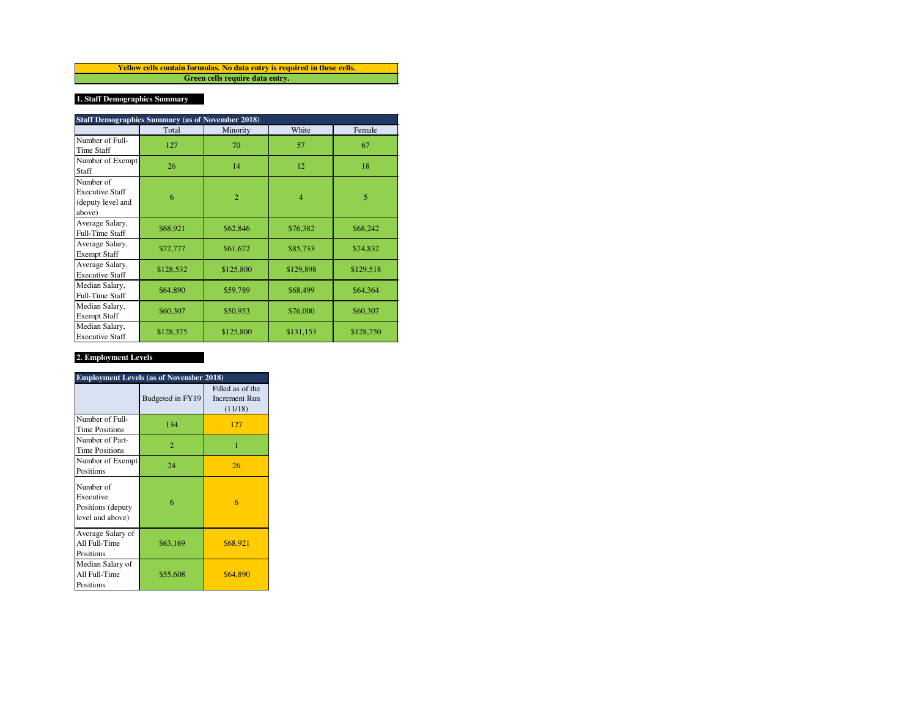**Green cells require data entry. Yellow cells contain formulas. No data entry is required in these cells.**

# **1. Staff Demographics Summary**

|                                                                    | <b>Staff Demographics Summary (as of November 2018)</b> |                |                |           |  |  |  |  |  |
|--------------------------------------------------------------------|---------------------------------------------------------|----------------|----------------|-----------|--|--|--|--|--|
|                                                                    | Total                                                   | Minority       | White          | Female    |  |  |  |  |  |
| Number of Full-<br><b>Time Staff</b>                               | 127                                                     | 70             | 57             | 67        |  |  |  |  |  |
| Number of Exempt<br>Staff                                          | 26                                                      | 14             | 12             | 18        |  |  |  |  |  |
| Number of<br><b>Executive Staff</b><br>(deputy level and<br>above) | 6                                                       | $\overline{2}$ | $\overline{4}$ | 5         |  |  |  |  |  |
| Average Salary,<br><b>Full-Time Staff</b>                          | \$68,921                                                | \$62,846       | \$76,382       | \$68,242  |  |  |  |  |  |
| Average Salary,<br><b>Exempt Staff</b>                             | \$72,777                                                | \$61,672       | \$85,733       | \$74,832  |  |  |  |  |  |
| Average Salary,<br><b>Executive Staff</b>                          | \$128,532                                               | \$125,800      | \$129,898      | \$129,518 |  |  |  |  |  |
| Median Salary,<br><b>Full-Time Staff</b>                           | \$64,890                                                | \$59,789       | \$68,499       | \$64,364  |  |  |  |  |  |
| Median Salary,<br><b>Exempt Staff</b>                              | \$60,307                                                | \$50,953       | \$76,000       | \$60,307  |  |  |  |  |  |
| Median Salary,<br><b>Executive Staff</b>                           | \$128,375                                               | \$125,800      | \$131,153      | \$128,750 |  |  |  |  |  |

## **2. Employment Levels**

| <b>Employment Levels (as of November 2018)</b>                  |                  |                                                     |  |  |  |  |
|-----------------------------------------------------------------|------------------|-----------------------------------------------------|--|--|--|--|
|                                                                 | Budgeted in FY19 | Filled as of the<br><b>Increment Run</b><br>(11/18) |  |  |  |  |
| Number of Full-<br><b>Time Positions</b>                        | 134              | 127                                                 |  |  |  |  |
| Number of Part-<br><b>Time Positions</b>                        | $\overline{2}$   | 1                                                   |  |  |  |  |
| Number of Exempt<br>Positions                                   | 24               | 26                                                  |  |  |  |  |
| Number of<br>Executive<br>Positions (deputy<br>level and above) | 6                | 6                                                   |  |  |  |  |
| Average Salary of<br>All Full-Time<br>Positions                 | \$63,169         | \$68,921                                            |  |  |  |  |
| Median Salary of<br>All Full-Time<br>Positions                  | \$55,608         | \$64,890                                            |  |  |  |  |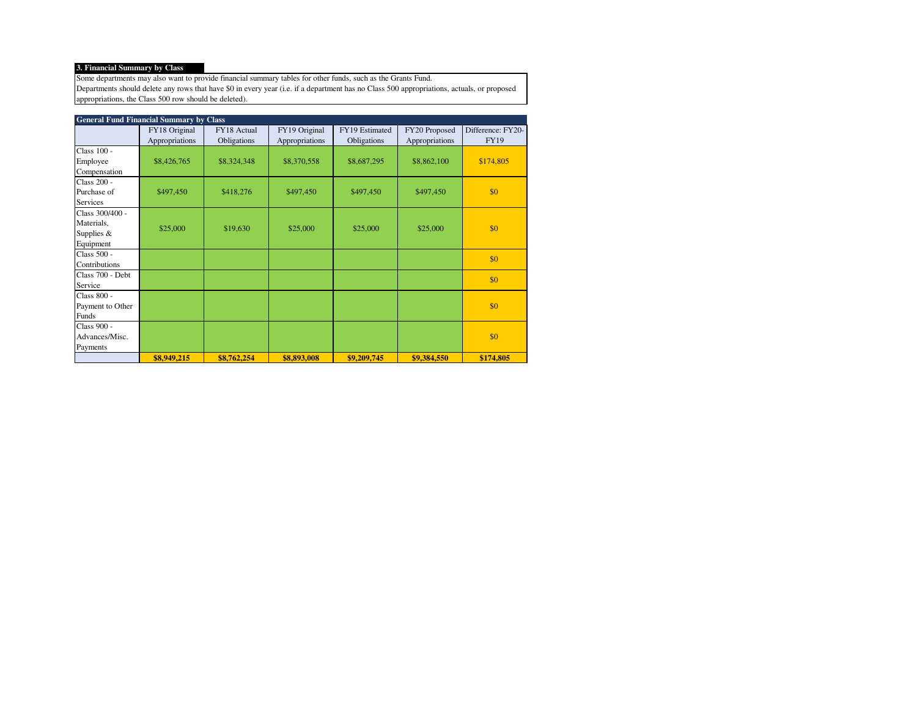# **3. Financial Summary by Class**

Some departments may also want to provide financial summary tables for other funds, such as the Grants Fund. Departments should delete any rows that have \$0 in every year (i.e. if a department has no Class 500 appropriations, actuals, or proposed appropriations, the Class 500 row should be deleted).

| <b>General Fund Financial Summary by Class</b> |                |             |                |                |                |                   |  |
|------------------------------------------------|----------------|-------------|----------------|----------------|----------------|-------------------|--|
|                                                | FY18 Original  | FY18 Actual | FY19 Original  | FY19 Estimated | FY20 Proposed  | Difference: FY20- |  |
|                                                | Appropriations | Obligations | Appropriations | Obligations    | Appropriations | FY19              |  |
| Class $100 -$                                  |                |             |                |                |                |                   |  |
| Employee                                       | \$8,426,765    | \$8,324,348 | \$8,370,558    | \$8,687,295    | \$8,862,100    | \$174,805         |  |
| Compensation                                   |                |             |                |                |                |                   |  |
| Class 200 -                                    |                |             |                |                |                |                   |  |
| Purchase of                                    | \$497,450      | \$418,276   | \$497,450      | \$497,450      | \$497,450      | \$0               |  |
| Services                                       |                |             |                |                |                |                   |  |
| Class 300/400 -                                |                |             |                |                |                |                   |  |
| Materials,                                     | \$25,000       | \$19,630    | \$25,000       | \$25,000       | \$25,000       | \$0               |  |
| Supplies $&$                                   |                |             |                |                |                |                   |  |
| Equipment                                      |                |             |                |                |                |                   |  |
| Class 500 -                                    |                |             |                |                |                | \$0               |  |
| Contributions                                  |                |             |                |                |                |                   |  |
| Class 700 - Debt                               |                |             |                |                |                | \$0               |  |
| Service                                        |                |             |                |                |                |                   |  |
| Class 800 -                                    |                |             |                |                |                |                   |  |
| Payment to Other                               |                |             |                |                |                | \$0               |  |
| Funds                                          |                |             |                |                |                |                   |  |
| Class 900 -                                    |                |             |                |                |                |                   |  |
| Advances/Misc.                                 |                |             |                |                |                | \$0               |  |
| Payments                                       |                |             |                |                |                |                   |  |
|                                                | \$8,949,215    | \$8,762,254 | \$8,893,008    | \$9,209,745    | \$9,384,550    | \$174,805         |  |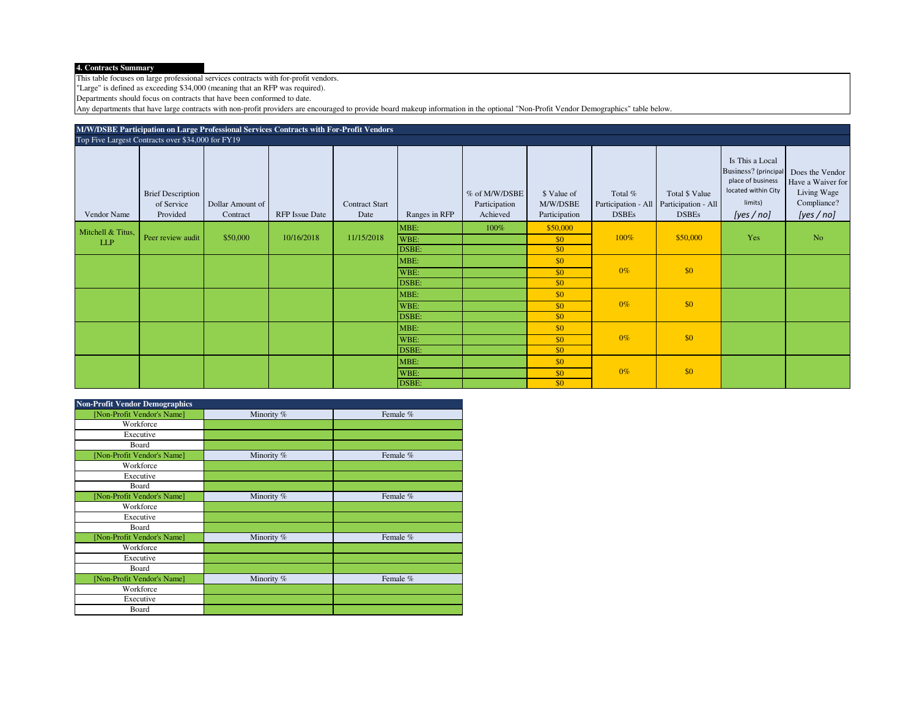## **4. Contracts Summary**

This table focuses on large professional services contracts with for-profit vendors.

"Large" is defined as exceeding \$34,000 (meaning that an RFP was required).

Departments should focus on contracts that have been conformed to date.

Any departments that have large contracts with non-profit providers are encouraged to provide board makeup information in the optional "Non-Profit Vendor Demographics" table below.

| M/W/DSBE Participation on Large Professional Services Contracts with For-Profit Vendors |                                                    |                              |                       |                               |                       |                                            |                                          |                         |                                                                             |                                                                                                                 |                                                                                |
|-----------------------------------------------------------------------------------------|----------------------------------------------------|------------------------------|-----------------------|-------------------------------|-----------------------|--------------------------------------------|------------------------------------------|-------------------------|-----------------------------------------------------------------------------|-----------------------------------------------------------------------------------------------------------------|--------------------------------------------------------------------------------|
|                                                                                         | Top Five Largest Contracts over \$34,000 for FY19  |                              |                       |                               |                       |                                            |                                          |                         |                                                                             |                                                                                                                 |                                                                                |
| Vendor Name                                                                             | <b>Brief Description</b><br>of Service<br>Provided | Dollar Amount of<br>Contract | <b>RFP</b> Issue Date | <b>Contract Start</b><br>Date | Ranges in RFP         | % of M/W/DSBE<br>Participation<br>Achieved | \$ Value of<br>M/W/DSBE<br>Participation | Total %<br><b>DSBEs</b> | Total \$ Value<br>Participation - All   Participation - All<br><b>DSBEs</b> | Is This a Local<br>Business? (principal<br>place of business<br>located within City<br>limits)<br>[yes / $no$ ] | Does the Vendor<br>Have a Waiver for<br>Living Wage<br>Compliance?<br>[yes/no] |
| Mitchell & Titus,<br>LLP                                                                | Peer review audit                                  | \$50,000                     | 10/16/2018            | 11/15/2018                    | MBE:<br>WBE:<br>DSBE: | 100%                                       | \$50,000<br>\$0<br>\$0                   | 100%                    | \$50,000                                                                    | Yes                                                                                                             | N <sub>o</sub>                                                                 |
|                                                                                         |                                                    |                              |                       |                               | MBE:<br>WBE:<br>DSBE: |                                            | \$0<br>\$0<br>\$0                        | $0\%$                   | \$0                                                                         |                                                                                                                 |                                                                                |
|                                                                                         |                                                    |                              |                       |                               | MBE:<br>WBE:<br>DSBE: |                                            | \$0<br>\$0<br>\$0                        | $0\%$                   | \$0                                                                         |                                                                                                                 |                                                                                |
|                                                                                         |                                                    |                              |                       |                               | MBE:<br>WBE:<br>DSBE: |                                            | \$0<br>\$0<br>\$0                        | $0\%$                   | \$0                                                                         |                                                                                                                 |                                                                                |
|                                                                                         |                                                    |                              |                       |                               | MBE:<br>WBE:<br>DSBE: |                                            | \$0<br>\$0<br>\$0                        | $0\%$                   | \$0                                                                         |                                                                                                                 |                                                                                |

| <b>Non-Profit Vendor Demographics</b> |            |          |
|---------------------------------------|------------|----------|
| [Non-Profit Vendor's Name]            | Minority % | Female % |
| Workforce                             |            |          |
| Executive                             |            |          |
| Board                                 |            |          |
| [Non-Profit Vendor's Name]            | Minority % | Female % |
| Workforce                             |            |          |
| Executive                             |            |          |
| Board                                 |            |          |
| [Non-Profit Vendor's Name]            | Minority % | Female % |
| Workforce                             |            |          |
| Executive                             |            |          |
| Board                                 |            |          |
| [Non-Profit Vendor's Name]            | Minority % | Female % |
| Workforce                             |            |          |
| Executive                             |            |          |
| Board                                 |            |          |
| [Non-Profit Vendor's Name]            | Minority % | Female % |
| Workforce                             |            |          |
| Executive                             |            |          |
| Board                                 |            |          |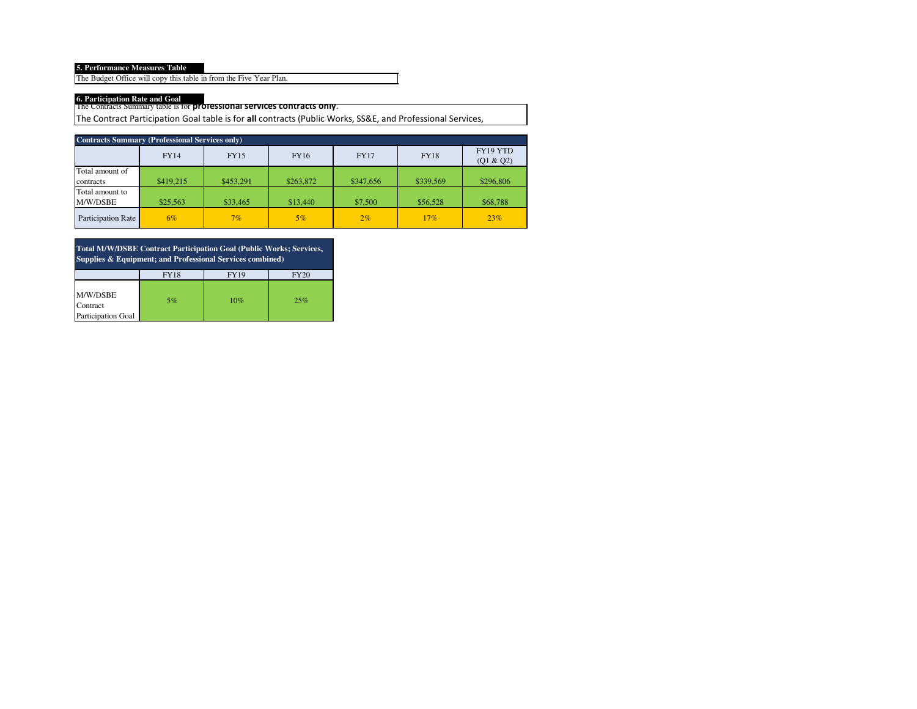**5. Performance Measures Table**

The Budget Office will copy this table in from the Five Year Plan.

The Contracts Summary table is for **professional services contracts only**. **6. Participation Rate and Goal**

The Contract Participation Goal table is for **all** contracts (Public Works, SS&E, and Professional Services,

| <b>Contracts Summary (Professional Services only)</b> |             |             |           |             |             |                       |  |  |  |
|-------------------------------------------------------|-------------|-------------|-----------|-------------|-------------|-----------------------|--|--|--|
|                                                       | <b>FY14</b> | <b>FY15</b> | FY16      | <b>FY17</b> | <b>FY18</b> | FY19 YTD<br>(Q1 & Q2) |  |  |  |
| Total amount of                                       |             |             |           |             |             |                       |  |  |  |
| contracts                                             | \$419.215   | \$453.291   | \$263,872 | \$347,656   | \$339,569   | \$296,806             |  |  |  |
| Total amount to                                       |             |             |           |             |             |                       |  |  |  |
| M/W/DSBE                                              | \$25,563    | \$33,465    | \$13,440  | \$7,500     | \$56,528    | \$68,788              |  |  |  |
| Participation Rate                                    | $6\%$       | 7%          | $5\%$     | $2\%$       | 17%         | 23%                   |  |  |  |

**Total M/W/DSBE Contract Participation Goal (Public Works; Services, Supplies & Equipment; and Professional Services combined)**

|                                            | <b>FY18</b> | <b>FY19</b> | <b>FY20</b> |
|--------------------------------------------|-------------|-------------|-------------|
| M/W/DSBE<br>Contract<br>Participation Goal | 5%          | 10%         | 25%         |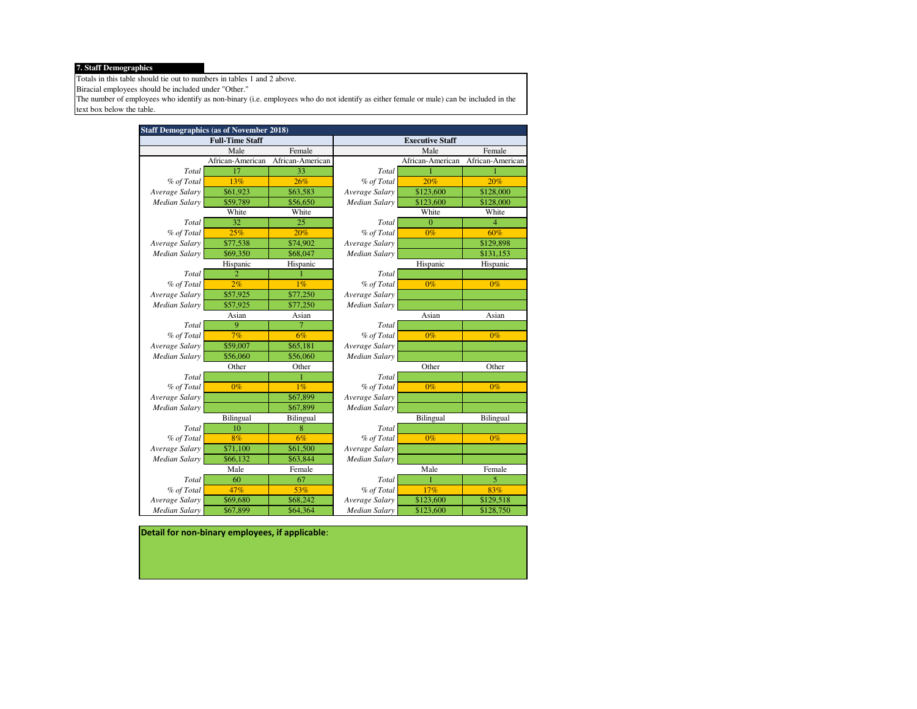## **7. Staff Demographics**

Totals in this table should tie out to numbers in tables 1 and 2 above.

Biracial employees should be included under "Other."

The number of employees who identify as non-binary (i.e. employees who do not identify as either female or male) can be included in the text box below the table.

|                | <b>Staff Demographics (as of November 2018)</b> |                  |                        |                  |                  |  |  |
|----------------|-------------------------------------------------|------------------|------------------------|------------------|------------------|--|--|
|                | <b>Full-Time Staff</b>                          |                  | <b>Executive Staff</b> |                  |                  |  |  |
|                | Male                                            | Female           |                        | Male             | Female           |  |  |
|                | African-American                                | African-American |                        | African-American | African-American |  |  |
| Total          | 17                                              | 33               | Total                  |                  |                  |  |  |
| % of Total     | 13%                                             | 26%              | % of Total             | 20%              | 20%              |  |  |
| Average Salary | \$61,923                                        | \$63,583         | Average Salary         | \$123,600        | \$128,000        |  |  |
| Median Salary  | \$59,789                                        | \$56,650         | Median Salary          | \$123,600        | \$128,000        |  |  |
|                | White                                           | White            |                        | White            | White            |  |  |
| Total          | 32                                              | 25               | Total                  | $\overline{0}$   | 4                |  |  |
| % of Total     | 25%                                             | 20%              | % of Total             | $0\%$            | 60%              |  |  |
| Average Salary | \$77,538                                        | \$74,902         | Average Salary         |                  | \$129,898        |  |  |
| Median Salary  | \$69,350                                        | \$68,047         | Median Salary          |                  | \$131,153        |  |  |
|                | Hispanic                                        | Hispanic         |                        | Hispanic         | Hispanic         |  |  |
| Total          | $\overline{2}$                                  |                  | Total                  |                  |                  |  |  |
| % of Total     | 2%                                              | 1%               | % of Total             | $0\%$            | $0\%$            |  |  |
| Average Salary | \$57,925                                        | \$77,250         | Average Salary         |                  |                  |  |  |
| Median Salary  | \$57,925                                        | \$77,250         | Median Salary          |                  |                  |  |  |
|                | Asian                                           | Asian            |                        | Asian            | Asian            |  |  |
| Total          | 9                                               | 7                | Total                  |                  |                  |  |  |
| % of Total     | 7%                                              | 6%               | % of Total             | $0\%$            | $0\%$            |  |  |
| Average Salary | \$59,007                                        | \$65,181         | Average Salary         |                  |                  |  |  |
| Median Salary  | \$56,060                                        | \$56,060         | Median Salary          |                  |                  |  |  |
|                | Other                                           | Other            |                        | Other            | Other            |  |  |
| Total          |                                                 |                  | Total                  |                  |                  |  |  |
| % of Total     | $0\%$                                           | 1%               | % of Total             | $0\%$            | $0\%$            |  |  |
| Average Salary |                                                 | \$67,899         | Average Salary         |                  |                  |  |  |
| Median Salary  |                                                 | \$67,899         | Median Salary          |                  |                  |  |  |
|                | Bilingual                                       | Bilingual        |                        | Bilingual        | Bilingual        |  |  |
| Total          | 10                                              | 8                | Total                  |                  |                  |  |  |
| % of Total     | 8%                                              | 6%               | % of Total             | $0\%$            | $0\%$            |  |  |
| Average Salary | \$71,100                                        | \$61,500         | Average Salary         |                  |                  |  |  |
| Median Salary  | \$66,132                                        | \$63,844         | <b>Median Salary</b>   |                  |                  |  |  |
|                | Male                                            | Female           |                        | Male             | Female           |  |  |
| Total          | 60                                              | 67               | Total                  |                  | 5                |  |  |
| % of Total     | 47%                                             | 53%              | % of Total             | 17%              | 83%              |  |  |
| Average Salary | \$69,680                                        | \$68,242         | Average Salary         | \$123,600        | \$129,518        |  |  |
| Median Salary  | \$67,899                                        | \$64,364         | <b>Median Salary</b>   | \$123,600        | \$128,750        |  |  |

**Detail for non-binary employees, if applicable**: